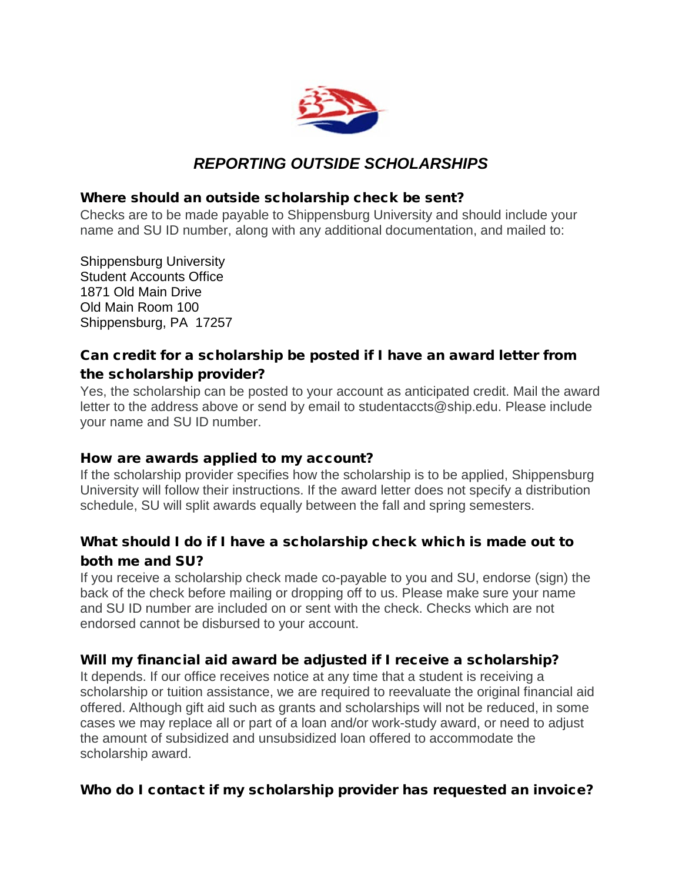

# *REPORTING OUTSIDE SCHOLARSHIPS*

#### Where should an outside scholarship check be sent?

Checks are to be made payable to Shippensburg University and should include your name and SU ID number, along with any additional documentation, and mailed to:

Shippensburg University Student Accounts Office 1871 Old Main Drive Old Main Room 100 Shippensburg, PA 17257

### Can credit for a scholarship be posted if I have an award letter from the scholarship provider?

Yes, the scholarship can be posted to your account as anticipated credit. Mail the award letter to the address above or send by email to studentaccts@ship.edu. Please include your name and SU ID number.

#### How are awards applied to my account?

If the scholarship provider specifies how the scholarship is to be applied, Shippensburg University will follow their instructions. If the award letter does not specify a distribution schedule, SU will split awards equally between the fall and spring semesters.

# What should I do if I have a scholarship check which is made out to both me and SU?

If you receive a scholarship check made co-payable to you and SU, endorse (sign) the back of the check before mailing or dropping off to us. Please make sure your name and SU ID number are included on or sent with the check. Checks which are not endorsed cannot be disbursed to your account.

#### Will my financial aid award be adjusted if I receive a scholarship?

It depends. If our office receives notice at any time that a student is receiving a scholarship or tuition assistance, we are required to reevaluate the original financial aid offered. Although gift aid such as grants and scholarships will not be reduced, in some cases we may replace all or part of a loan and/or work-study award, or need to adjust the amount of subsidized and unsubsidized loan offered to accommodate the scholarship award.

#### Who do I contact if my scholarship provider has requested an invoice?